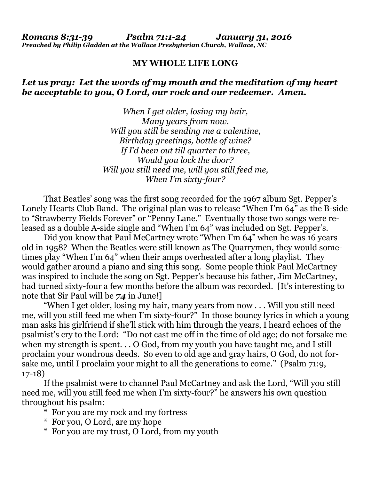## **MY WHOLE LIFE LONG**

## *Let us pray: Let the words of my mouth and the meditation of my heart be acceptable to you, O Lord, our rock and our redeemer. Amen.*

*When I get older, losing my hair, Many years from now. Will you still be sending me a valentine, Birthday greetings, bottle of wine? If I'd been out till quarter to three, Would you lock the door? Will you still need me, will you still feed me, When I'm sixty-four?* 

 That Beatles' song was the first song recorded for the 1967 album Sgt. Pepper's Lonely Hearts Club Band. The original plan was to release "When I'm 64" as the B-side to "Strawberry Fields Forever" or "Penny Lane." Eventually those two songs were released as a double A-side single and "When I'm 64" was included on Sgt. Pepper's.

 Did you know that Paul McCartney wrote "When I'm 64" when he was 16 years old in 1958? When the Beatles were still known as The Quarrymen, they would sometimes play "When I'm 64" when their amps overheated after a long playlist. They would gather around a piano and sing this song. Some people think Paul McCartney was inspired to include the song on Sgt. Pepper's because his father, Jim McCartney, had turned sixty-four a few months before the album was recorded. [It's interesting to note that Sir Paul will be *74* in June!]

 "When I get older, losing my hair, many years from now . . . Will you still need me, will you still feed me when I'm sixty-four?" In those bouncy lyrics in which a young man asks his girlfriend if she'll stick with him through the years, I heard echoes of the psalmist's cry to the Lord: "Do not cast me off in the time of old age; do not forsake me when my strength is spent. . . O God, from my youth you have taught me, and I still proclaim your wondrous deeds. So even to old age and gray hairs, O God, do not forsake me, until I proclaim your might to all the generations to come." (Psalm 71:9, 17-18)

 If the psalmist were to channel Paul McCartney and ask the Lord, "Will you still need me, will you still feed me when I'm sixty-four?" he answers his own question throughout his psalm:

- \* For you are my rock and my fortress
- \* For you, O Lord, are my hope
- \* For you are my trust, O Lord, from my youth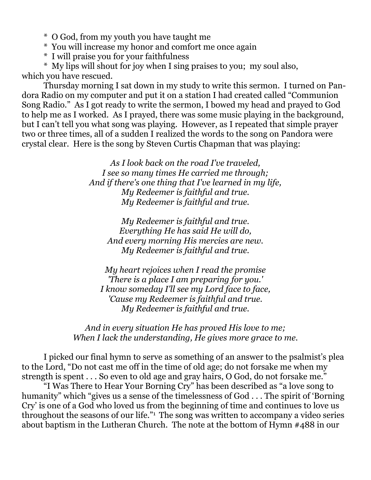\* O God, from my youth you have taught me

\* You will increase my honor and comfort me once again

\* I will praise you for your faithfulness

 \* My lips will shout for joy when I sing praises to you; my soul also, which you have rescued.

 Thursday morning I sat down in my study to write this sermon. I turned on Pandora Radio on my computer and put it on a station I had created called "Communion Song Radio." As I got ready to write the sermon, I bowed my head and prayed to God to help me as I worked. As I prayed, there was some music playing in the background, but I can't tell you what song was playing. However, as I repeated that simple prayer two or three times, all of a sudden I realized the words to the song on Pandora were crystal clear. Here is the song by Steven Curtis Chapman that was playing:

> *As I look back on the road I've traveled, I see so many times He carried me through; And if there's one thing that I've learned in my life, My Redeemer is faithful and true. My Redeemer is faithful and true.*

*My Redeemer is faithful and true. Everything He has said He will do, And every morning His mercies are new. My Redeemer is faithful and true.*

*My heart rejoices when I read the promise 'There is a place I am preparing for you.' I know someday I'll see my Lord face to face, 'Cause my Redeemer is faithful and true. My Redeemer is faithful and true.*

*And in every situation He has proved His love to me; When I lack the understanding, He gives more grace to me.*

 I picked our final hymn to serve as something of an answer to the psalmist's plea to the Lord, "Do not cast me off in the time of old age; do not forsake me when my strength is spent . . . So even to old age and gray hairs, O God, do not forsake me."

 "I Was There to Hear Your Borning Cry" has been described as "a love song to humanity" which "gives us a sense of the timelessness of God . . . The spirit of 'Borning Cry' is one of a God who loved us from the beginning of time and continues to love us throughout the seasons of our life."1 The song was written to accompany a video series about baptism in the Lutheran Church. The note at the bottom of Hymn #488 in our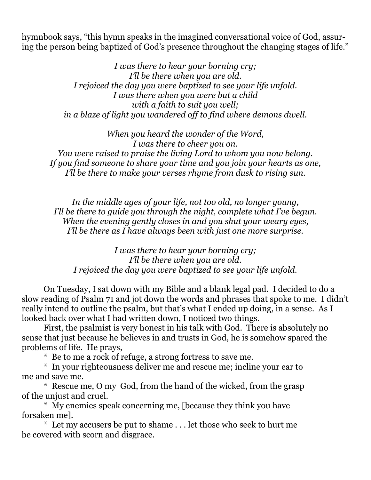hymnbook says, "this hymn speaks in the imagined conversational voice of God, assuring the person being baptized of God's presence throughout the changing stages of life."

> *I was there to hear your borning cry; I'll be there when you are old. I rejoiced the day you were baptized to see your life unfold. I was there when you were but a child with a faith to suit you well; in a blaze of light you wandered off to find where demons dwell.*

*When you heard the wonder of the Word, I was there to cheer you on. You were raised to praise the living Lord to whom you now belong. If you find someone to share your time and you join your hearts as one, I'll be there to make your verses rhyme from dusk to rising sun.*

*In the middle ages of your life, not too old, no longer young, I'll be there to guide you through the night, complete what I've begun. When the evening gently closes in and you shut your weary eyes, I'll be there as I have always been with just one more surprise.*

*I was there to hear your borning cry; I'll be there when you are old. I rejoiced the day you were baptized to see your life unfold.*

 On Tuesday, I sat down with my Bible and a blank legal pad. I decided to do a slow reading of Psalm 71 and jot down the words and phrases that spoke to me. I didn't really intend to outline the psalm, but that's what I ended up doing, in a sense. As I looked back over what I had written down, I noticed two things.

 First, the psalmist is very honest in his talk with God. There is absolutely no sense that just because he believes in and trusts in God, he is somehow spared the problems of life. He prays,

\* Be to me a rock of refuge, a strong fortress to save me.

 \* In your righteousness deliver me and rescue me; incline your ear to me and save me.

 \* Rescue me, O my God, from the hand of the wicked, from the grasp of the unjust and cruel.

 \* My enemies speak concerning me, [because they think you have forsaken me].

 \* Let my accusers be put to shame . . . let those who seek to hurt me be covered with scorn and disgrace.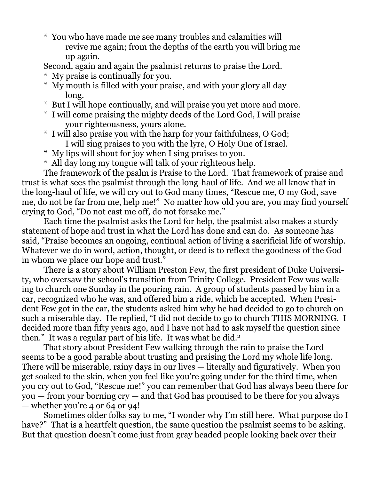\* You who have made me see many troubles and calamities will revive me again; from the depths of the earth you will bring me up again.

Second, again and again the psalmist returns to praise the Lord.

- My praise is continually for you.
- \* My mouth is filled with your praise, and with your glory all day long.
- \* But I will hope continually, and will praise you yet more and more.
- \* I will come praising the mighty deeds of the Lord God, I will praise your righteousness, yours alone.
- \* I will also praise you with the harp for your faithfulness, O God; I will sing praises to you with the lyre, O Holy One of Israel.
- \* My lips will shout for joy when I sing praises to you.
- \* All day long my tongue will talk of your righteous help.

 The framework of the psalm is Praise to the Lord. That framework of praise and trust is what sees the psalmist through the long-haul of life. And we all know that in the long-haul of life, we will cry out to God many times, "Rescue me, O my God, save me, do not be far from me, help me!" No matter how old you are, you may find yourself crying to God, "Do not cast me off, do not forsake me."

 Each time the psalmist asks the Lord for help, the psalmist also makes a sturdy statement of hope and trust in what the Lord has done and can do. As someone has said, "Praise becomes an ongoing, continual action of living a sacrificial life of worship. Whatever we do in word, action, thought, or deed is to reflect the goodness of the God in whom we place our hope and trust."

 There is a story about William Preston Few, the first president of Duke University, who oversaw the school's transition from Trinity College. President Few was walking to church one Sunday in the pouring rain. A group of students passed by him in a car, recognized who he was, and offered him a ride, which he accepted. When President Few got in the car, the students asked him why he had decided to go to church on such a miserable day. He replied, "I did not decide to go to church THIS MORNING. I decided more than fifty years ago, and I have not had to ask myself the question since then." It was a regular part of his life. It was what he did.<sup>2</sup>

 That story about President Few walking through the rain to praise the Lord seems to be a good parable about trusting and praising the Lord my whole life long. There will be miserable, rainy days in our lives — literally and figuratively. When you get soaked to the skin, when you feel like you're going under for the third time, when you cry out to God, "Rescue me!" you can remember that God has always been there for you — from your borning cry — and that God has promised to be there for you always — whether you're 4 or 64 or 94!

 Sometimes older folks say to me, "I wonder why I'm still here. What purpose do I have?" That is a heartfelt question, the same question the psalmist seems to be asking. But that question doesn't come just from gray headed people looking back over their